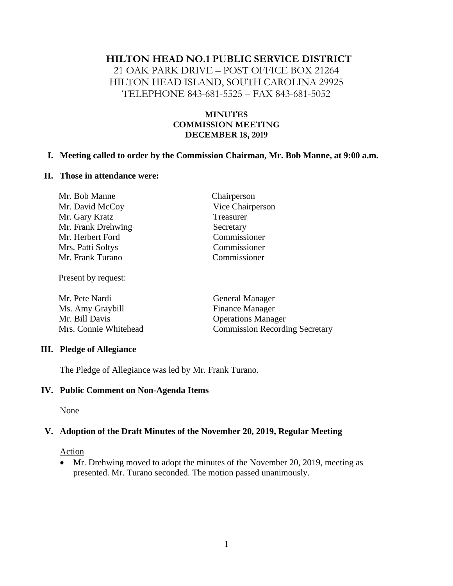# **HILTON HEAD NO.1 PUBLIC SERVICE DISTRICT**

21 OAK PARK DRIVE – POST OFFICE BOX 21264 HILTON HEAD ISLAND, SOUTH CAROLINA 29925 TELEPHONE 843-681-5525 – FAX 843-681-5052

## **MINUTES COMMISSION MEETING DECEMBER 18, 2019**

### **I. Meeting called to order by the Commission Chairman, Mr. Bob Manne, at 9:00 a.m.**

#### **II. Those in attendance were:**

| Chairperson      |
|------------------|
| Vice Chairperson |
| Treasurer        |
| Secretary        |
| Commissioner     |
| Commissioner     |
| Commissioner     |
|                  |

Present by request:

| Mr. Pete Nardi        | <b>General Manager</b>                |
|-----------------------|---------------------------------------|
| Ms. Amy Graybill      | <b>Finance Manager</b>                |
| Mr. Bill Davis        | <b>Operations Manager</b>             |
| Mrs. Connie Whitehead | <b>Commission Recording Secretary</b> |

### **III. Pledge of Allegiance**

The Pledge of Allegiance was led by Mr. Frank Turano.

### **IV. Public Comment on Non-Agenda Items**

None

# **V. Adoption of the Draft Minutes of the November 20, 2019, Regular Meeting**

### **Action**

• Mr. Drehwing moved to adopt the minutes of the November 20, 2019, meeting as presented. Mr. Turano seconded. The motion passed unanimously.